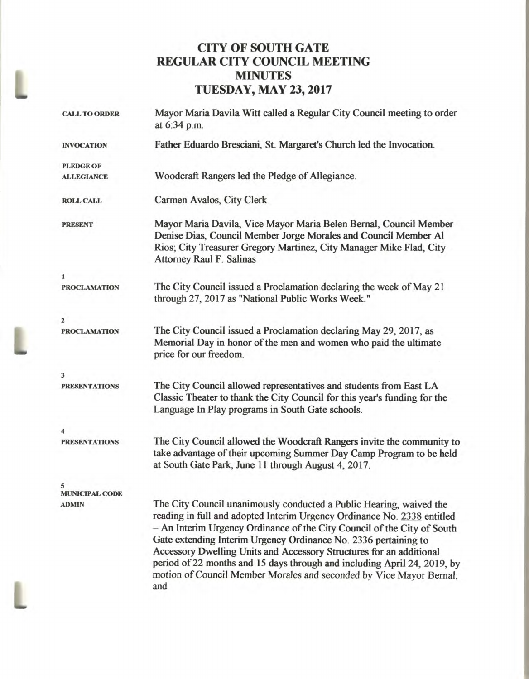## **CITY OF SOUTH GATE REGULAR CITY COUNCIL MEETING MINUTES TUESDAY, MAY 23, 2017**

| <b>CALL TO ORDER</b>       | Mayor Maria Davila Witt called a Regular City Council meeting to order<br>at 6:34 p.m.                                                                                                                                                                                                                                                                                                                                                                                                                                        |
|----------------------------|-------------------------------------------------------------------------------------------------------------------------------------------------------------------------------------------------------------------------------------------------------------------------------------------------------------------------------------------------------------------------------------------------------------------------------------------------------------------------------------------------------------------------------|
| <b>INVOCATION</b>          | Father Eduardo Bresciani, St. Margaret's Church led the Invocation.                                                                                                                                                                                                                                                                                                                                                                                                                                                           |
| <b>PLEDGE OF</b>           |                                                                                                                                                                                                                                                                                                                                                                                                                                                                                                                               |
| <b>ALLEGIANCE</b>          | Woodcraft Rangers led the Pledge of Allegiance.                                                                                                                                                                                                                                                                                                                                                                                                                                                                               |
| <b>ROLL CALL</b>           | Carmen Avalos, City Clerk                                                                                                                                                                                                                                                                                                                                                                                                                                                                                                     |
| <b>PRESENT</b>             | Mayor Maria Davila, Vice Mayor Maria Belen Bernal, Council Member<br>Denise Dias, Council Member Jorge Morales and Council Member Al<br>Rios; City Treasurer Gregory Martinez, City Manager Mike Flad, City<br><b>Attorney Raul F. Salinas</b>                                                                                                                                                                                                                                                                                |
| 1                          |                                                                                                                                                                                                                                                                                                                                                                                                                                                                                                                               |
| <b>PROCLAMATION</b>        | The City Council issued a Proclamation declaring the week of May 21<br>through 27, 2017 as "National Public Works Week."                                                                                                                                                                                                                                                                                                                                                                                                      |
| $\mathbf{z}$               |                                                                                                                                                                                                                                                                                                                                                                                                                                                                                                                               |
| <b>PROCLAMATION</b>        | The City Council issued a Proclamation declaring May 29, 2017, as<br>Memorial Day in honor of the men and women who paid the ultimate<br>price for our freedom.                                                                                                                                                                                                                                                                                                                                                               |
| 3                          |                                                                                                                                                                                                                                                                                                                                                                                                                                                                                                                               |
| <b>PRESENTATIONS</b>       | The City Council allowed representatives and students from East LA<br>Classic Theater to thank the City Council for this year's funding for the<br>Language In Play programs in South Gate schools.                                                                                                                                                                                                                                                                                                                           |
|                            |                                                                                                                                                                                                                                                                                                                                                                                                                                                                                                                               |
| <b>PRESENTATIONS</b>       | The City Council allowed the Woodcraft Rangers invite the community to<br>take advantage of their upcoming Summer Day Camp Program to be held<br>at South Gate Park, June 11 through August 4, 2017.                                                                                                                                                                                                                                                                                                                          |
| 5<br><b>MUNICIPAL CODE</b> |                                                                                                                                                                                                                                                                                                                                                                                                                                                                                                                               |
| <b>ADMIN</b>               | The City Council unanimously conducted a Public Hearing, waived the<br>reading in full and adopted Interim Urgency Ordinance No. 2338 entitled<br>- An Interim Urgency Ordinance of the City Council of the City of South<br>Gate extending Interim Urgency Ordinance No. 2336 pertaining to<br>Accessory Dwelling Units and Accessory Structures for an additional<br>period of 22 months and 15 days through and including April 24, 2019, by<br>motion of Council Member Morales and seconded by Vice Mayor Bernal;<br>and |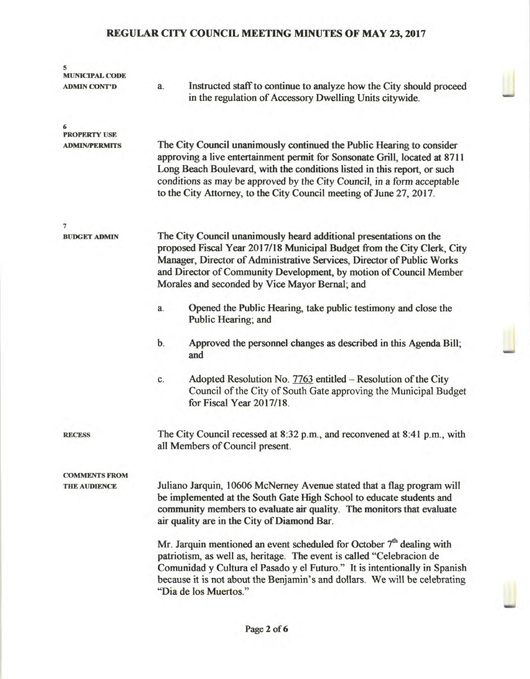| 5<br><b>MUNICIPAL CODE</b> |                                                                                                                                                                                                                                                                                                                                                                                   |
|----------------------------|-----------------------------------------------------------------------------------------------------------------------------------------------------------------------------------------------------------------------------------------------------------------------------------------------------------------------------------------------------------------------------------|
| <b>ADMIN CONT'D</b>        | Instructed staff to continue to analyze how the City should proceed<br>a.<br>in the regulation of Accessory Dwelling Units citywide.                                                                                                                                                                                                                                              |
| <b>PROPERTY USE</b>        |                                                                                                                                                                                                                                                                                                                                                                                   |
| <b>ADMIN/PERMITS</b>       | The City Council unanimously continued the Public Hearing to consider<br>approving a live entertainment permit for Sonsonate Grill, located at 8711<br>Long Beach Boulevard, with the conditions listed in this report, or such<br>conditions as may be approved by the City Council, in a form acceptable<br>to the City Attorney, to the City Council meeting of June 27, 2017. |
| $\overline{7}$             |                                                                                                                                                                                                                                                                                                                                                                                   |
| <b>BUDGET ADMIN</b>        | The City Council unanimously heard additional presentations on the<br>proposed Fiscal Year 2017/18 Municipal Budget from the City Clerk, City<br>Manager, Director of Administrative Services, Director of Public Works<br>and Director of Community Development, by motion of Council Member<br>Morales and seconded by Vice Mayor Bernal; and                                   |
|                            | Opened the Public Hearing, take public testimony and close the<br>a.<br>Public Hearing; and                                                                                                                                                                                                                                                                                       |
|                            | b.<br>Approved the personnel changes as described in this Agenda Bill;<br>and                                                                                                                                                                                                                                                                                                     |
|                            | Adopted Resolution No. $7763$ entitled – Resolution of the City<br>C.<br>Council of the City of South Gate approving the Municipal Budget<br>for Fiscal Year 2017/18.                                                                                                                                                                                                             |
| <b>RECESS</b>              | The City Council recessed at 8:32 p.m., and reconvened at 8:41 p.m., with<br>all Members of Council present.                                                                                                                                                                                                                                                                      |
| <b>COMMENTS FROM</b>       |                                                                                                                                                                                                                                                                                                                                                                                   |
| <b>THE AUDIENCE</b>        | Juliano Jarquin, 10606 McNerney Avenue stated that a flag program will<br>be implemented at the South Gate High School to educate students and<br>community members to evaluate air quality. The monitors that evaluate<br>air quality are in the City of Diamond Bar.                                                                                                            |
|                            | Mr. Jarquin mentioned an event scheduled for October $7th$ dealing with<br>patriotism, as well as, heritage. The event is called "Celebracion de<br>Comunidad y Cultura el Pasado y el Futuro." It is intentionally in Spanish<br>because it is not about the Benjamin's and dollars. We will be celebrating<br>"Dia de los Muertos."                                             |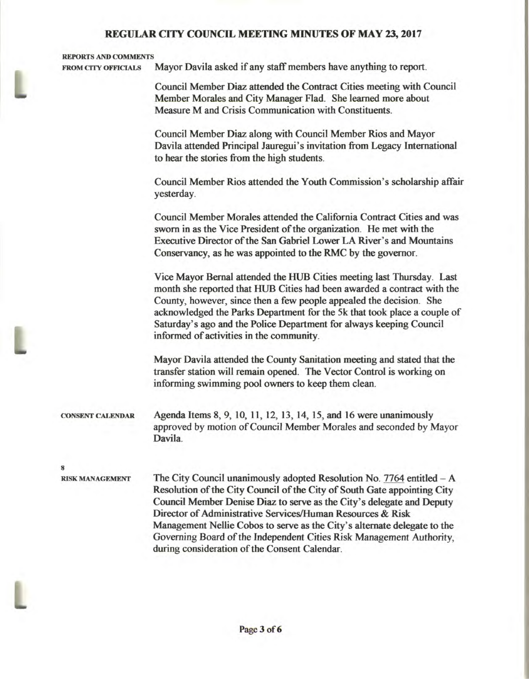#### **REPORTS AND COMMENTS**

**FROM CITY OFFICIALS Mayor Davila asked if any staff members have anything to report.** 

**Council Member Diaz attended the Contract Cities meeting with Council Member Morales and City Manager Flad. She learned more about Measure M and Crisis Communication with Constituents.** 

**Council Member Diaz along with Council Member Rios and Mayor Davila attended Principal Jauregui's invitation from Legacy International to hear the stories from the high students.** 

**Council Member Rios attended the Youth Commission's scholarship affair yesterday.** 

**Council Member Morales attended the California Contract Cities and was sworn in as the Vice President of the organization. He met with the Executive Director of the San Gabriel Lower LA River's and Mountains Conservancy, as he was appointed to the RMC by the governor.** 

**Vice Mayor Bernal attended the HUB Cities meeting last Thursday. Last month she reported that HUB Cities had been awarded a contract with the County, however, since then a few people appealed the decision. She acknowledged the Parks Department for the 5k that took place a couple of Saturday's ago and the Police Department for always keeping Council informed of activities in the community.** 

**Mayor Davila attended the County Sanitation meeting and stated that the transfer station will remain opened. The Vector Control is working on informing swimming pool owners to keep them clean.** 

**CONSENT CALENDAR Agenda Items 8, 9, 10, 11, 12, 13, 14, 15, and 16 were unanimously approved** by motion of Council Member Morales and seconded by Mayor Davila.

 $\mathbf{R}$ 

L

**RISK MANAGEMENT The City Council unanimously adopted Resolution No. 7764 entitled — A Resolution of the City Council of the City of South Gate appointing City Council Member Denise Diaz to serve as the City's delegate and Deputy Director of Administrative Services/Human Resources & Risk Management Nellie Cobos to serve as the City's alternate delegate to the Governing Board of the Independent Cities Risk Management Authority, during consideration of the Consent Calendar.**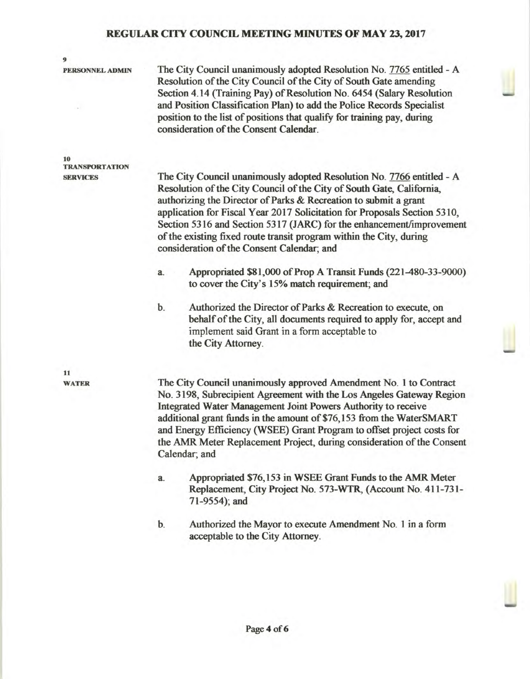| 9                    |                                                                                                                                                                                                                                                                                                                                                                                                                                                                                              |
|----------------------|----------------------------------------------------------------------------------------------------------------------------------------------------------------------------------------------------------------------------------------------------------------------------------------------------------------------------------------------------------------------------------------------------------------------------------------------------------------------------------------------|
| PERSONNEL ADMIN      | The City Council unanimously adopted Resolution No. 7765 entitled - A<br>Resolution of the City Council of the City of South Gate amending<br>Section 4.14 (Training Pay) of Resolution No. 6454 (Salary Resolution<br>and Position Classification Plan) to add the Police Records Specialist<br>position to the list of positions that qualify for training pay, during<br>consideration of the Consent Calendar.                                                                           |
| 10<br>TRANSPORTATION |                                                                                                                                                                                                                                                                                                                                                                                                                                                                                              |
| <b>SERVICES</b>      | The City Council unanimously adopted Resolution No. 7766 entitled - A<br>Resolution of the City Council of the City of South Gate, California,<br>authorizing the Director of Parks & Recreation to submit a grant<br>application for Fiscal Year 2017 Solicitation for Proposals Section 5310,<br>Section 5316 and Section 5317 (JARC) for the enhancement/improvement<br>of the existing fixed route transit program within the City, during<br>consideration of the Consent Calendar; and |
|                      | Appropriated \$81,000 of Prop A Transit Funds (221-480-33-9000)<br>a.<br>to cover the City's 15% match requirement; and                                                                                                                                                                                                                                                                                                                                                                      |
|                      | b.<br>Authorized the Director of Parks & Recreation to execute, on<br>behalf of the City, all documents required to apply for, accept and<br>implement said Grant in a form acceptable to<br>the City Attorney.                                                                                                                                                                                                                                                                              |
| 11                   |                                                                                                                                                                                                                                                                                                                                                                                                                                                                                              |
| <b>WATER</b>         | The City Council unanimously approved Amendment No. 1 to Contract<br>No. 3198, Subrecipient Agreement with the Los Angeles Gateway Region<br>Integrated Water Management Joint Powers Authority to receive<br>additional grant funds in the amount of \$76,153 from the WaterSMART<br>and Energy Efficiency (WSEE) Grant Program to offset project costs for<br>the AMR Meter Replacement Project, during consideration of the Consent<br>Calendar; and                                      |
|                      | Appropriated \$76,153 in WSEE Grant Funds to the AMR Meter<br>a.<br>Replacement, City Project No. 573-WTR, (Account No. 411-731-<br>71-9554); and                                                                                                                                                                                                                                                                                                                                            |
|                      |                                                                                                                                                                                                                                                                                                                                                                                                                                                                                              |

**b. Authorized the Mayor to execute Amendment No. 1 in a form acceptable to the City Attorney.**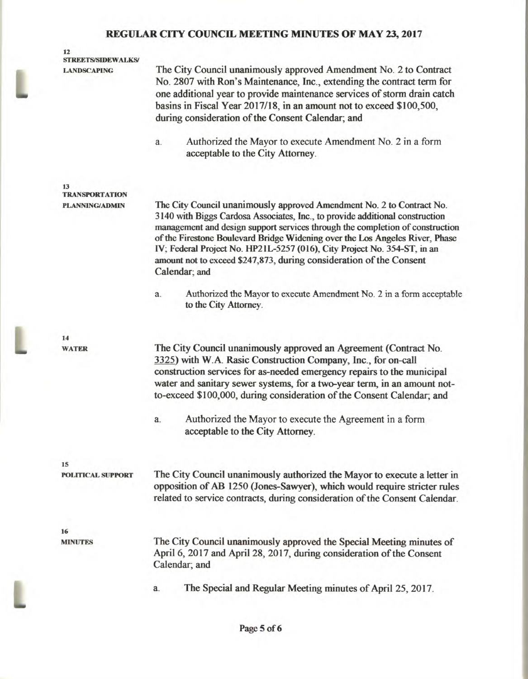### **12 STREETS/SIDEWALKS/**

**LANDSCAPING** The City Council unanimously approved Amendment No. 2 to Contract No. 2807 with Ron's Maintenance, Inc., extending the contract term for one additional year to provide maintenance services of storm drain catch basins in Fiscal Year 2017/18, in an amount not to exceed \$100,500, during consideration of the Consent Calendar; and

> a. Authorized the Mayor to execute Amendment No. 2 in a form acceptable to the City Attorney.

**13 TRANSPORTATION** 

**PLANNING/ADMIN** The City Council unanimously approved Amendment No. 2 to Contract No. 3140 with Biggs Cardosa Associates, Inc., to provide additional construction management and design support services through the completion of construction of the Firestone Boulevard Bridge Widening over the Los Angeles River, Phase IV; Federal Project No. HP21L-5257 (016), City Project No. 354-ST, in an amount not to exceed \$247,873, during consideration of the Consent Calendar; and

> a. Authorized the Mayor to execute Amendment No. 2 in a form acceptable to the City Attorney.

**WATER** The City Council unanimously approved an Agreement (Contract No. 3325) with W.A. Rasic Construction Company, Inc., for on-call construction services for as-needed emergency repairs to the municipal water and sanitary sewer systems, for a two-year term, in an amount notto-exceed \$100,000, during consideration of the Consent Calendar; and

> a. Authorized the Mayor to execute the Agreement in a form acceptable to the City Attorney.

**15** 

**POLITICAL SUPPORT** The City Council unanimously authorized the Mayor to execute a letter in opposition of AB 1250 (Jones-Sawyer), which would require stricter rules related to service contracts, during consideration of the Consent Calendar.

**16** 

**14** 

**MINUTES** The City Council unanimously approved the Special Meeting minutes of April 6, 2017 and April 28, 2017, during consideration of the Consent Calendar; and

a. The Special and Regular Meeting minutes of April 25, 2017.